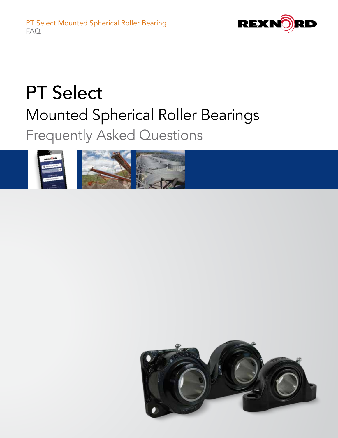

# PT Select Mounted Spherical Roller Bearings Frequently Asked Questions



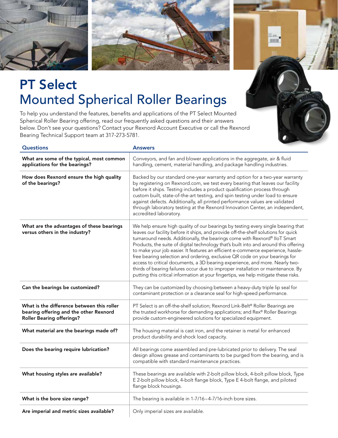



11111

## PT Select Mounted Spherical Roller Bearings

To help you understand the features, benefits and applications of the PT Select Mounted Spherical Roller Bearing offering, read our frequently asked questions and their answers below. Don't see your questions? Contact your Rexnord Account Executive or call the Rexnord Bearing Technical Support team at 317-273-5781.

| <b>Questions</b>                                                                                                         | <b>Answers</b>                                                                                                                                                                                                                                                                                                                                                                                                                                                                                                                                                                                                                                                                                                                                                             |
|--------------------------------------------------------------------------------------------------------------------------|----------------------------------------------------------------------------------------------------------------------------------------------------------------------------------------------------------------------------------------------------------------------------------------------------------------------------------------------------------------------------------------------------------------------------------------------------------------------------------------------------------------------------------------------------------------------------------------------------------------------------------------------------------------------------------------------------------------------------------------------------------------------------|
| What are some of the typical, most common<br>applications for the bearings?                                              | Conveyors, and fan and blower applications in the aggregate, air & fluid<br>handling, cement, material handling, and package handling industries.                                                                                                                                                                                                                                                                                                                                                                                                                                                                                                                                                                                                                          |
| How does Rexnord ensure the high quality<br>of the bearings?                                                             | Backed by our standard one-year warranty and option for a two-year warranty<br>by registering on Rexnord.com, we test every bearing that leaves our facility<br>before it ships. Testing includes a product qualification process through<br>custom built, state-of-the-art testing, and spin testing under load to ensure<br>against defects. Additionally, all printed performance values are validated<br>through laboratory testing at the Rexnord Innovation Center, an independent,<br>accredited laboratory.                                                                                                                                                                                                                                                        |
| What are the advantages of these bearings<br>versus others in the industry?                                              | We help ensure high quality of our bearings by testing every single bearing that<br>leaves our facility before it ships, and provide off-the-shelf solutions for quick<br>turnaround needs. Additionally, the bearings come with Rexnord® IIoT Smart<br>Products, the suite of digital technology that's built into and around this offering<br>to make your job easier. It features an efficient e-commerce experience, hassle-<br>free bearing selection and ordering, exclusive QR code on your bearings for<br>access to critical documents, a 3D bearing experience, and more. Nearly two-<br>thirds of bearing failures occur due to improper installation or maintenance. By<br>putting this critical information at your fingertips, we help mitigate these risks. |
| Can the bearings be customized?                                                                                          | They can be customized by choosing between a heavy-duty triple lip seal for<br>contaminant protection or a clearance seal for high-speed performance.                                                                                                                                                                                                                                                                                                                                                                                                                                                                                                                                                                                                                      |
| What is the difference between this roller<br>bearing offering and the other Rexnord<br><b>Roller Bearing offerings?</b> | PT Select is an off-the-shelf solution; Rexnord Link-Belt® Roller Bearings are<br>the trusted workhorse for demanding applications; and Rex® Roller Bearings<br>provide custom-engineered solutions for specialized equipment.                                                                                                                                                                                                                                                                                                                                                                                                                                                                                                                                             |
| What material are the bearings made of?                                                                                  | The housing material is cast iron, and the retainer is metal for enhanced<br>product durability and shock load capacity.                                                                                                                                                                                                                                                                                                                                                                                                                                                                                                                                                                                                                                                   |
| Does the bearing require lubrication?                                                                                    | All bearings come assembled and pre-lubricated prior to delivery. The seal<br>design allows grease and contaminants to be purged from the bearing, and is<br>compatible with standard maintenance practices.                                                                                                                                                                                                                                                                                                                                                                                                                                                                                                                                                               |
| What housing styles are available?                                                                                       | These bearings are available with 2-bolt pillow block, 4-bolt pillow block, Type<br>E 2-bolt pillow block, 4-bolt flange block, Type E 4-bolt flange, and piloted<br>flange block housings.                                                                                                                                                                                                                                                                                                                                                                                                                                                                                                                                                                                |
| What is the bore size range?                                                                                             | The bearing is available in 1-7/16-4-7/16-inch bore sizes.                                                                                                                                                                                                                                                                                                                                                                                                                                                                                                                                                                                                                                                                                                                 |
| Are imperial and metric sizes available?                                                                                 | Only imperial sizes are available.                                                                                                                                                                                                                                                                                                                                                                                                                                                                                                                                                                                                                                                                                                                                         |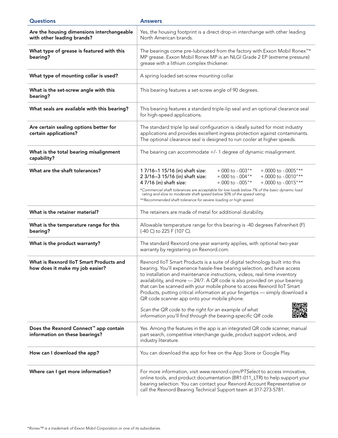| <b>Questions</b>                                                           | <b>Answers</b>                                                                                                                                                                                                                                                                                                                                                                                                                                                                                                                 |
|----------------------------------------------------------------------------|--------------------------------------------------------------------------------------------------------------------------------------------------------------------------------------------------------------------------------------------------------------------------------------------------------------------------------------------------------------------------------------------------------------------------------------------------------------------------------------------------------------------------------|
| Are the housing dimensions interchangeable<br>with other leading brands?   | Yes, the housing footprint is a direct drop-in interchange with other leading<br>North American brands.                                                                                                                                                                                                                                                                                                                                                                                                                        |
| What type of grease is featured with this<br>bearing?                      | The bearings come pre-lubricated from the factory with Exxon Mobil Ronex <sup>™*</sup><br>MP grease. Exxon Mobil Ronex MP is an NLGI Grade 2 EP (extreme pressure)<br>grease with a lithium complex thickener.                                                                                                                                                                                                                                                                                                                 |
| What type of mounting collar is used?                                      | A spring loaded set-screw mounting collar.                                                                                                                                                                                                                                                                                                                                                                                                                                                                                     |
| What is the set-screw angle with this<br>bearing?                          | This bearing features a set-screw angle of 90 degrees.                                                                                                                                                                                                                                                                                                                                                                                                                                                                         |
| What seals are available with this bearing?                                | This bearing features a standard triple-lip seal and an optional clearance seal<br>for high-speed applications.                                                                                                                                                                                                                                                                                                                                                                                                                |
| Are certain sealing options better for<br>certain applications?            | The standard triple lip seal configuration is ideally suited for most industry<br>applications and provides excellent ingress protection against contaminants.<br>The optional clearance seal is designed to run cooler at higher speeds.                                                                                                                                                                                                                                                                                      |
| What is the total bearing misalignment<br>capability?                      | The bearing can accommodate +/- 1 degree of dynamic misalignment.                                                                                                                                                                                                                                                                                                                                                                                                                                                              |
| What are the shaft tolerances?                                             | 1 7/16-1 15/16 (in) shaft size:<br>$+.000$ to $-.003$ "*<br>$+.0000$ to $-.0005$ "**<br>$+.000$ to $-.004"$ *<br>$+.0000$ to $-.0010$ "**<br>2 3/16-3 15/16 (in) shaft size:<br>$+.000$ to $-.005$ "*<br>$+.0000$ to $-.0015$ "**<br>4 7/16 (in) shaft size:                                                                                                                                                                                                                                                                   |
|                                                                            | *Commercial shaft tolerances are acceptable for low loads below 7% of the basic dynamic load<br>rating and slow to moderate shaft speed below 50% of the speed rating.<br>**Recommended shaft tolerance for severe loading or high speed.                                                                                                                                                                                                                                                                                      |
| What is the retainer material?                                             | The retainers are made of metal for additional durability.                                                                                                                                                                                                                                                                                                                                                                                                                                                                     |
| What is the temperature range for this<br>bearing?                         | Allowable temperature range for this bearing is -40 degrees Fahrenheit (F)<br>(-40 C) to 225 F (107 C).                                                                                                                                                                                                                                                                                                                                                                                                                        |
| What is the product warranty?                                              | The standard Rexnord one-year warranty applies, with optional two-year<br>warranty by registering on Rexnord.com.                                                                                                                                                                                                                                                                                                                                                                                                              |
| What is Rexnord IIoT Smart Products and<br>how does it make my job easier? | Rexnord IIoT Smart Products is a suite of digital technology built into this<br>bearing. You'll experience hassle-free bearing selection, and have access<br>to installation and maintenance instructions, videos, real-time inventory<br>availability, and more - 24/7. A QR code is also provided on your bearing<br>that can be scanned with your mobile phone to access Rexnord IIoT Smart<br>Products, putting critical information at your fingertips - simply download a<br>QR code scanner app onto your mobile phone. |
|                                                                            | Scan the QR code to the right for an example of what<br>information you'll find through the bearing-specific QR code.                                                                                                                                                                                                                                                                                                                                                                                                          |
| Does the Rexnord Connect™ app contain<br>information on these bearings?    | Yes. Among the features in the app is an integrated QR code scanner, manual<br>part search, competitive interchange guide, product support videos, and<br>industry literature.                                                                                                                                                                                                                                                                                                                                                 |
| How can I download the app?                                                | You can download the app for free on the App Store or Google Play.                                                                                                                                                                                                                                                                                                                                                                                                                                                             |
| Where can I get more information?                                          | For more information, visit www.rexnord.com/PTSelect to access innovative,<br>online tools, and product documentation (BR1-011_LTR) to help support your<br>bearing selection. You can contact your Rexnord Account Representative or<br>call the Rexnord Bearing Technical Support team at 317-273-5781.                                                                                                                                                                                                                      |